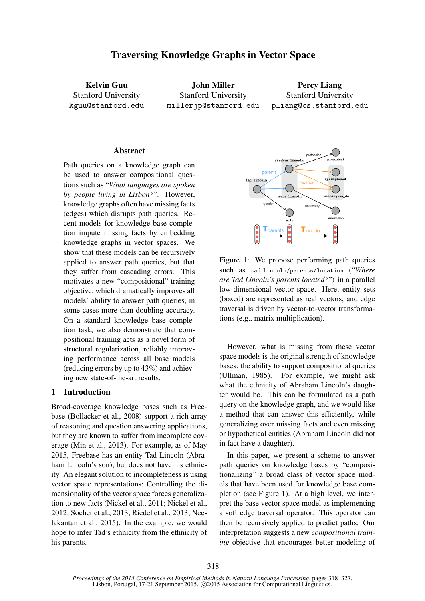# Traversing Knowledge Graphs in Vector Space

Kelvin Guu Stanford University kguu@stanford.edu

John Miller Stanford University millerjp@stanford.edu

Percy Liang Stanford University pliang@cs.stanford.edu

# **Abstract**

Path queries on a knowledge graph can be used to answer compositional questions such as "*What languages are spoken by people living in Lisbon?*". However, knowledge graphs often have missing facts (edges) which disrupts path queries. Recent models for knowledge base completion impute missing facts by embedding knowledge graphs in vector spaces. We show that these models can be recursively applied to answer path queries, but that they suffer from cascading errors. This motivates a new "compositional" training objective, which dramatically improves all models' ability to answer path queries, in some cases more than doubling accuracy. On a standard knowledge base completion task, we also demonstrate that compositional training acts as a novel form of structural regularization, reliably improving performance across all base models (reducing errors by up to 43%) and achieving new state-of-the-art results.

# 1 Introduction

Broad-coverage knowledge bases such as Freebase (Bollacker et al., 2008) support a rich array of reasoning and question answering applications, but they are known to suffer from incomplete coverage (Min et al., 2013). For example, as of May 2015, Freebase has an entity Tad Lincoln (Abraham Lincoln's son), but does not have his ethnicity. An elegant solution to incompleteness is using vector space representations: Controlling the dimensionality of the vector space forces generalization to new facts (Nickel et al., 2011; Nickel et al., 2012; Socher et al., 2013; Riedel et al., 2013; Neelakantan et al., 2015). In the example, we would hope to infer Tad's ethnicity from the ethnicity of his parents.



Figure 1: We propose performing path queries such as tad lincoln/parents/location ("*Where are Tad Lincoln's parents located?*") in a parallel low-dimensional vector space. Here, entity sets (boxed) are represented as real vectors, and edge traversal is driven by vector-to-vector transformations (e.g., matrix multiplication).

However, what is missing from these vector space models is the original strength of knowledge bases: the ability to support compositional queries (Ullman, 1985). For example, we might ask what the ethnicity of Abraham Lincoln's daughter would be. This can be formulated as a path query on the knowledge graph, and we would like a method that can answer this efficiently, while generalizing over missing facts and even missing or hypothetical entities (Abraham Lincoln did not in fact have a daughter).

In this paper, we present a scheme to answer path queries on knowledge bases by "compositionalizing" a broad class of vector space models that have been used for knowledge base completion (see Figure 1). At a high level, we interpret the base vector space model as implementing a soft edge traversal operator. This operator can then be recursively applied to predict paths. Our interpretation suggests a new *compositional training* objective that encourages better modeling of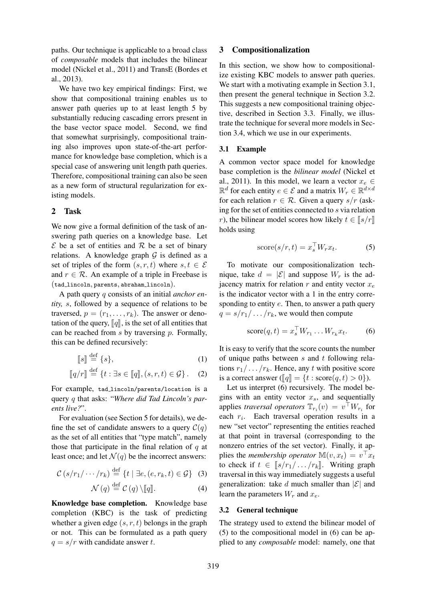paths. Our technique is applicable to a broad class of *composable* models that includes the bilinear model (Nickel et al., 2011) and TransE (Bordes et al., 2013).

We have two key empirical findings: First, we show that compositional training enables us to answer path queries up to at least length 5 by substantially reducing cascading errors present in the base vector space model. Second, we find that somewhat surprisingly, compositional training also improves upon state-of-the-art performance for knowledge base completion, which is a special case of answering unit length path queries. Therefore, compositional training can also be seen as a new form of structural regularization for existing models.

# 2 Task

We now give a formal definition of the task of answering path queries on a knowledge base. Let  $\mathcal E$  be a set of entities and  $\mathcal R$  be a set of binary relations. A knowledge graph  $G$  is defined as a set of triples of the form  $(s, r, t)$  where  $s, t \in \mathcal{E}$ and  $r \in \mathcal{R}$ . An example of a triple in Freebase is (tad lincoln, parents, abraham lincoln).

A path query q consists of an initial *anchor entity,* s, followed by a sequence of relations to be traversed,  $p = (r_1, \ldots, r_k)$ . The answer or denotation of the query,  $\llbracket q \rrbracket$ , is the set of all entities that can be reached from  $s$  by traversing  $p$ . Formally, this can be defined recursively:

$$
\llbracket s \rrbracket \stackrel{\text{def}}{=} \{s\},\tag{1}
$$

$$
[\![q/r]\!] \stackrel{\text{def}}{=} \{t : \exists s \in [\![q]\!], (s, r, t) \in \mathcal{G}\}.
$$
 (2)

For example, tad lincoln/parents/location is a query q that asks: "*Where did Tad Lincoln's parents live?*".

For evaluation (see Section 5 for details), we define the set of candidate answers to a query  $\mathcal{C}(q)$ as the set of all entities that "type match", namely those that participate in the final relation of  $q$  at least once; and let  $\mathcal{N}(q)$  be the incorrect answers:

$$
\mathcal{C}\left(s/r_1/\cdots/r_k\right) \stackrel{\text{def}}{=} \{t \mid \exists e, (e, r_k, t) \in \mathcal{G}\}\quad(3)
$$

$$
\mathcal{N}(q) \stackrel{\text{def}}{=} \mathcal{C}(q) \setminus [ [q] ]. \tag{4}
$$

Knowledge base completion. Knowledge base completion (KBC) is the task of predicting whether a given edge  $(s, r, t)$  belongs in the graph or not. This can be formulated as a path query  $q = s/r$  with candidate answer t.

### 3 Compositionalization

In this section, we show how to compositionalize existing KBC models to answer path queries. We start with a motivating example in Section 3.1, then present the general technique in Section 3.2. This suggests a new compositional training objective, described in Section 3.3. Finally, we illustrate the technique for several more models in Section 3.4, which we use in our experiments.

#### 3.1 Example

A common vector space model for knowledge base completion is the *bilinear model* (Nickel et al., 2011). In this model, we learn a vector  $x_e \in$  $\mathbb{R}^d$  for each entity  $e \in \mathcal{E}$  and a matrix  $W_r \in \mathbb{R}^{d \times d}$ for each relation  $r \in \mathcal{R}$ . Given a query  $s/r$  (asking for the set of entities connected to s via relation r), the bilinear model scores how likely  $t \in \llbracket s/r \rrbracket$ holds using

$$
score(s/r, t) = x_s^\top W_r x_t. \tag{5}
$$

To motivate our compositionalization technique, take  $d = |\mathcal{E}|$  and suppose  $W_r$  is the adjacency matrix for relation  $r$  and entity vector  $x_e$ is the indicator vector with a 1 in the entry corresponding to entity e. Then, to answer a path query  $q = s/r_1/\dots/r_k$ , we would then compute

$$
score(q, t) = x_s^{\top} W_{r_1} \dots W_{r_k} x_t.
$$
 (6)

It is easy to verify that the score counts the number of unique paths between  $s$  and  $t$  following relations  $r_1/\dots/r_k$ . Hence, any t with positive score is a correct answer ( $\llbracket q \rrbracket = \{t : \text{score}(q, t) > 0\}$ ).

Let us interpret (6) recursively. The model begins with an entity vector  $x_s$ , and sequentially applies *traversal operators*  $\mathbb{T}_{r_i}(v) = v^\top W_{r_i}$  for each  $r_i$ . Each traversal operation results in a new "set vector" representing the entities reached at that point in traversal (corresponding to the nonzero entries of the set vector). Finally, it applies the *membership operator*  $\mathbb{M}(v, x_t) = v^\top x_t$ to check if  $t \in [s/r_1/\dots/r_k]$ . Writing graph traversal in this way immediately suggests a useful generalization: take d much smaller than  $|\mathcal{E}|$  and learn the parameters  $W_r$  and  $x_e$ .

### 3.2 General technique

The strategy used to extend the bilinear model of (5) to the compositional model in (6) can be applied to any *composable* model: namely, one that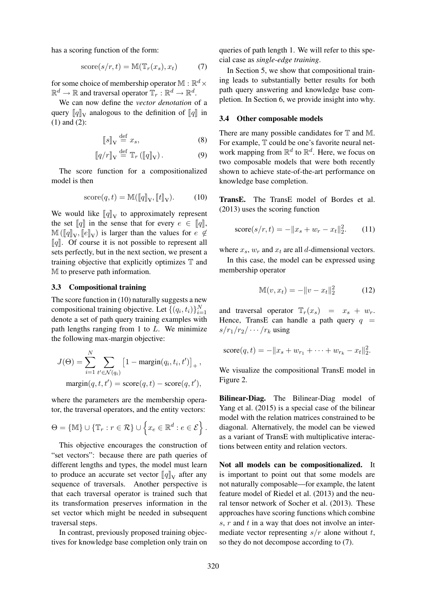has a scoring function of the form:

$$
score(s/r, t) = M(\mathbb{T}_r(x_s), x_t)
$$
 (7)

for some choice of membership operator  $\mathbb{M}:\mathbb{R}^d \times$  $\mathbb{R}^d \to \mathbb{R}$  and traversal operator  $\mathbb{T}_r : \mathbb{R}^d \to \mathbb{R}^d.$ 

We can now define the *vector denotation* of a query  $\llbracket q \rrbracket_V$  analogous to the definition of  $\llbracket q \rrbracket$  in (1) and (2):

$$
\llbracket s \rrbracket_{\mathcal{V}} \stackrel{\text{def}}{=} x_s,\tag{8}
$$

$$
[\![q/r]\!]_{\mathcal{V}} \stackrel{\text{def}}{=} \mathbb{T}_r \left( [\![q]\!]_{\mathcal{V}} \right). \tag{9}
$$

The score function for a compositionalized model is then

$$
score(q, t) = \mathbb{M}(\llbracket q \rrbracket_{\mathbf{V}}, \llbracket t \rrbracket_{\mathbf{V}}). \tag{10}
$$

We would like  $[\![q]\!]_V$  to approximately represent the set  $\llbracket q \rrbracket$  in the sense that for every  $e \in \llbracket q \rrbracket$ ,  $\mathbb{M}([q]_V, [e]_V)$  is larger than the values for  $e \notin$  $\llbracket q \rrbracket$ . Of course it is not possible to represent all sets perfectly, but in the next section, we present a training objective that explicitly optimizes  $\mathbb T$  and M to preserve path information.

#### 3.3 Compositional training

The score function in (10) naturally suggests a new compositional training objective. Let  $\{(q_i, t_i)\}_{i=1}^N$ denote a set of path query training examples with path lengths ranging from 1 to  $L$ . We minimize the following max-margin objective:

$$
J(\Theta) = \sum_{i=1}^{N} \sum_{t' \in \mathcal{N}(q_i)} \left[1 - \text{margin}(q_i, t_i, t')\right]_+,
$$
  

$$
\text{margin}(q, t, t') = \text{score}(q, t) - \text{score}(q, t'),
$$

where the parameters are the membership operator, the traversal operators, and the entity vectors:

$$
\Theta = \{ \mathbb{M} \} \cup \{ \mathbb{T}_r : r \in \mathcal{R} \} \cup \left\{ x_e \in \mathbb{R}^d : e \in \mathcal{E} \right\}.
$$

This objective encourages the construction of "set vectors": because there are path queries of different lengths and types, the model must learn to produce an accurate set vector  $\llbracket q \rrbracket_V$  after any sequence of traversals. Another perspective is that each traversal operator is trained such that its transformation preserves information in the set vector which might be needed in subsequent traversal steps.

In contrast, previously proposed training objectives for knowledge base completion only train on queries of path length 1. We will refer to this special case as *single-edge training*.

In Section 5, we show that compositional training leads to substantially better results for both path query answering and knowledge base completion. In Section 6, we provide insight into why.

#### 3.4 Other composable models

There are many possible candidates for  $T$  and M. For example,  $\mathbb T$  could be one's favorite neural network mapping from  $\mathbb{R}^d$  to  $\mathbb{R}^d$ . Here, we focus on two composable models that were both recently shown to achieve state-of-the-art performance on knowledge base completion.

TransE. The TransE model of Bordes et al. (2013) uses the scoring function

score
$$
(s/r, t) = -||x_s + w_r - x_t||_2^2
$$
. (11)

where  $x_s$ ,  $w_r$  and  $x_t$  are all d-dimensional vectors.

In this case, the model can be expressed using membership operator

$$
\mathbb{M}(v, x_t) = -\|v - x_t\|_2^2 \tag{12}
$$

and traversal operator  $\mathbb{T}_r(x_s) = x_s + w_r$ . Hence, TransE can handle a path query  $q =$  $s/r_1/r_2/\cdots/r_k$  using

score
$$
(q, t)
$$
 =  $-\|x_s + w_{r_1} + \cdots + w_{r_k} - x_t\|_2^2$ .

We visualize the compositional TransE model in Figure 2.

Bilinear-Diag. The Bilinear-Diag model of Yang et al. (2015) is a special case of the bilinear model with the relation matrices constrained to be diagonal. Alternatively, the model can be viewed as a variant of TransE with multiplicative interactions between entity and relation vectors.

Not all models can be compositionalized. It is important to point out that some models are not naturally composable—for example, the latent feature model of Riedel et al. (2013) and the neural tensor network of Socher et al. (2013). These approaches have scoring functions which combine  $s, r$  and  $t$  in a way that does not involve an intermediate vector representing  $s/r$  alone without t, so they do not decompose according to (7).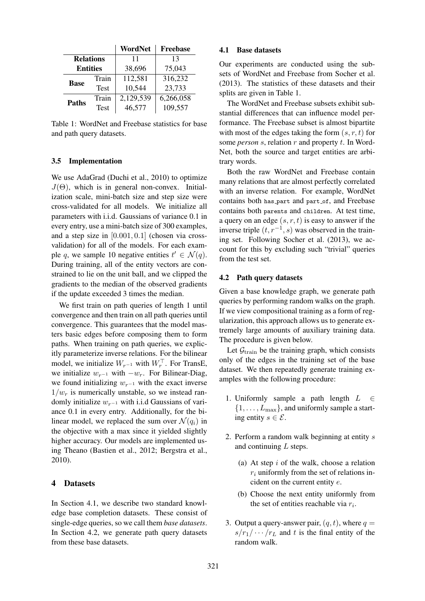|                  |             | WordNet   | <b>Freebase</b> |  |
|------------------|-------------|-----------|-----------------|--|
| <b>Relations</b> |             | 11        | 13              |  |
| <b>Entities</b>  |             | 38,696    | 75,043          |  |
| <b>Base</b>      | Train       | 112,581   | 316,232         |  |
|                  | <b>Test</b> | 10,544    | 23,733          |  |
| <b>Paths</b>     | Train       | 2,129,539 | 6,266,058       |  |
|                  | Test        | 46,577    | 109,557         |  |

Table 1: WordNet and Freebase statistics for base and path query datasets.

## 3.5 Implementation

We use AdaGrad (Duchi et al., 2010) to optimize  $J(\Theta)$ , which is in general non-convex. Initialization scale, mini-batch size and step size were cross-validated for all models. We initialize all parameters with i.i.d. Gaussians of variance 0.1 in every entry, use a mini-batch size of 300 examples, and a step size in [0.001, 0.1] (chosen via crossvalidation) for all of the models. For each example q, we sample 10 negative entities  $t' \in \mathcal{N}(q)$ . During training, all of the entity vectors are constrained to lie on the unit ball, and we clipped the gradients to the median of the observed gradients if the update exceeded 3 times the median.

We first train on path queries of length 1 until convergence and then train on all path queries until convergence. This guarantees that the model masters basic edges before composing them to form paths. When training on path queries, we explicitly parameterize inverse relations. For the bilinear model, we initialize  $W_{r^{-1}}$  with  $W_r^{\perp}$ . For TransE, we initialize  $w_{r-1}$  with  $-w_r$ . For Bilinear-Diag, we found initializing  $w_{r-1}$  with the exact inverse  $1/w_r$  is numerically unstable, so we instead randomly initialize  $w_{r-1}$  with i.i.d Gaussians of variance 0.1 in every entry. Additionally, for the bilinear model, we replaced the sum over  $\mathcal{N}(q_i)$  in the objective with a max since it yielded slightly higher accuracy. Our models are implemented using Theano (Bastien et al., 2012; Bergstra et al., 2010).

# 4 Datasets

In Section 4.1, we describe two standard knowledge base completion datasets. These consist of single-edge queries, so we call them *base datasets*. In Section 4.2, we generate path query datasets from these base datasets.

## 4.1 Base datasets

Our experiments are conducted using the subsets of WordNet and Freebase from Socher et al. (2013). The statistics of these datasets and their splits are given in Table 1.

The WordNet and Freebase subsets exhibit substantial differences that can influence model performance. The Freebase subset is almost bipartite with most of the edges taking the form  $(s, r, t)$  for some *person s*, relation r and property t. In Word-Net, both the source and target entities are arbitrary words.

Both the raw WordNet and Freebase contain many relations that are almost perfectly correlated with an inverse relation. For example, WordNet contains both has part and part of, and Freebase contains both parents and children. At test time, a query on an edge  $(s, r, t)$  is easy to answer if the inverse triple  $(t, r^{-1}, s)$  was observed in the training set. Following Socher et al. (2013), we account for this by excluding such "trivial" queries from the test set.

### 4.2 Path query datasets

Given a base knowledge graph, we generate path queries by performing random walks on the graph. If we view compositional training as a form of regularization, this approach allows us to generate extremely large amounts of auxiliary training data. The procedure is given below.

Let  $\mathcal{G}_{\text{train}}$  be the training graph, which consists only of the edges in the training set of the base dataset. We then repeatedly generate training examples with the following procedure:

- 1. Uniformly sample a path length  $L \in$  $\{1, \ldots, L_{\text{max}}\}$ , and uniformly sample a starting entity  $s \in \mathcal{E}$ .
- 2. Perform a random walk beginning at entity s and continuing L steps.
	- (a) At step  $i$  of the walk, choose a relation  $r_i$  uniformly from the set of relations incident on the current entity e.
	- (b) Choose the next entity uniformly from the set of entities reachable via  $r_i$ .
- 3. Output a query-answer pair,  $(q, t)$ , where  $q =$  $s/r_1/\cdots/r_L$  and t is the final entity of the random walk.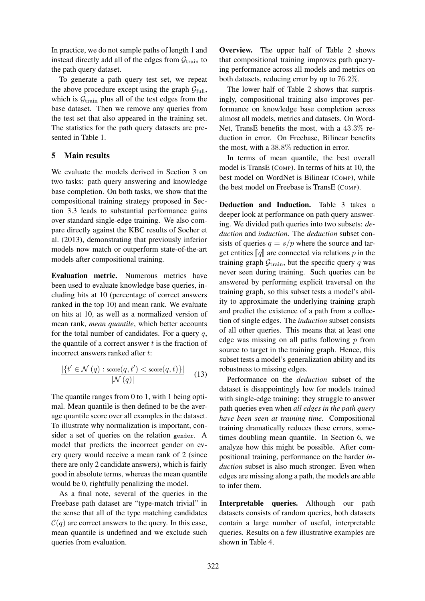In practice, we do not sample paths of length 1 and instead directly add all of the edges from  $\mathcal{G}_{\text{train}}$  to the path query dataset.

To generate a path query test set, we repeat the above procedure except using the graph  $G_{\text{full}}$ , which is  $G<sub>train</sub>$  plus all of the test edges from the base dataset. Then we remove any queries from the test set that also appeared in the training set. The statistics for the path query datasets are presented in Table 1.

# 5 Main results

We evaluate the models derived in Section 3 on two tasks: path query answering and knowledge base completion. On both tasks, we show that the compositional training strategy proposed in Section 3.3 leads to substantial performance gains over standard single-edge training. We also compare directly against the KBC results of Socher et al. (2013), demonstrating that previously inferior models now match or outperform state-of-the-art models after compositional training.

Evaluation metric. Numerous metrics have been used to evaluate knowledge base queries, including hits at 10 (percentage of correct answers ranked in the top 10) and mean rank. We evaluate on hits at 10, as well as a normalized version of mean rank, *mean quantile*, which better accounts for the total number of candidates. For a query  $q$ , the quantile of a correct answer  $t$  is the fraction of incorrect answers ranked after t:

$$
\frac{|\{t' \in \mathcal{N}(q) : \text{score}(q, t') < \text{score}(q, t)\}|}{|\mathcal{N}(q)|} \tag{13}
$$

The quantile ranges from 0 to 1, with 1 being optimal. Mean quantile is then defined to be the average quantile score over all examples in the dataset. To illustrate why normalization is important, consider a set of queries on the relation gender. A model that predicts the incorrect gender on every query would receive a mean rank of 2 (since there are only 2 candidate answers), which is fairly good in absolute terms, whereas the mean quantile would be 0, rightfully penalizing the model.

As a final note, several of the queries in the Freebase path dataset are "type-match trivial" in the sense that all of the type matching candidates  $C(q)$  are correct answers to the query. In this case, mean quantile is undefined and we exclude such queries from evaluation.

Overview. The upper half of Table 2 shows that compositional training improves path querying performance across all models and metrics on both datasets, reducing error by up to 76.2%.

The lower half of Table 2 shows that surprisingly, compositional training also improves performance on knowledge base completion across almost all models, metrics and datasets. On Word-Net, TransE benefits the most, with a 43.3% reduction in error. On Freebase, Bilinear benefits the most, with a 38.8% reduction in error.

In terms of mean quantile, the best overall model is TransE (COMP). In terms of hits at 10, the best model on WordNet is Bilinear (COMP), while the best model on Freebase is TransE (COMP).

Deduction and Induction. Table 3 takes a deeper look at performance on path query answering. We divided path queries into two subsets: *deduction* and *induction*. The *deduction* subset consists of queries  $q = s/p$  where the source and target entities  $\llbracket q \rrbracket$  are connected via relations p in the training graph  $G<sub>train</sub>$ , but the specific query q was never seen during training. Such queries can be answered by performing explicit traversal on the training graph, so this subset tests a model's ability to approximate the underlying training graph and predict the existence of a path from a collection of single edges. The *induction* subset consists of all other queries. This means that at least one edge was missing on all paths following  $p$  from source to target in the training graph. Hence, this subset tests a model's generalization ability and its robustness to missing edges.

Performance on the *deduction* subset of the dataset is disappointingly low for models trained with single-edge training: they struggle to answer path queries even when *all edges in the path query have been seen at training time.* Compositional training dramatically reduces these errors, sometimes doubling mean quantile. In Section 6, we analyze how this might be possible. After compositional training, performance on the harder *induction* subset is also much stronger. Even when edges are missing along a path, the models are able to infer them.

Interpretable queries. Although our path datasets consists of random queries, both datasets contain a large number of useful, interpretable queries. Results on a few illustrative examples are shown in Table 4.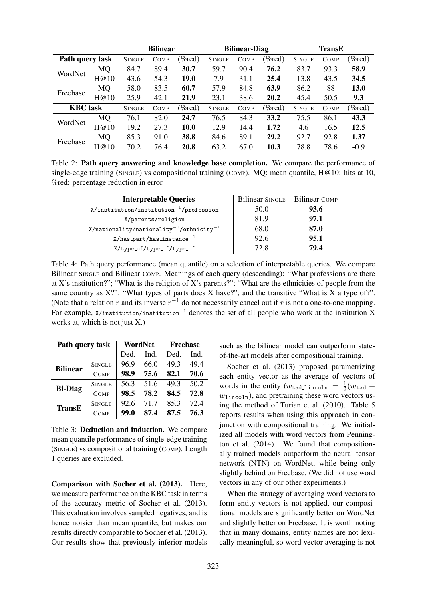|                 |           | <b>Bilinear</b> |             | <b>Bilinear-Diag</b> |               |             | <b>TransE</b> |               |             |           |
|-----------------|-----------|-----------------|-------------|----------------------|---------------|-------------|---------------|---------------|-------------|-----------|
| Path query task |           | <b>SINGLE</b>   | <b>COMP</b> | (%red)               | <b>SINGLE</b> | <b>COMP</b> | $(\%red)$     | <b>SINGLE</b> | <b>COMP</b> | $(\%red)$ |
| WordNet         | MQ        | 84.7            | 89.4        | 30.7                 | 59.7          | 90.4        | 76.2          | 83.7          | 93.3        | 58.9      |
|                 | H@10      | 43.6            | 54.3        | <b>19.0</b>          | 7.9           | 31.1        | 25.4          | 13.8          | 43.5        | 34.5      |
| Freebase        | MQ        | 58.0            | 83.5        | 60.7                 | 57.9          | 84.8        | 63.9          | 86.2          | 88          | 13.0      |
|                 | H@10      | 25.9            | 42.1        | 21.9                 | 23.1          | 38.6        | 20.2          | 45.4          | 50.5        | 9.3       |
| <b>KBC</b> task |           | <b>SINGLE</b>   | <b>COMP</b> | (%red)               | <b>SINGLE</b> | <b>COMP</b> | $(\%red)$     | <b>SINGLE</b> | <b>COMP</b> | $(\%red)$ |
| WordNet         | MQ        | 76.1            | 82.0        | 24.7                 | 76.5          | 84.3        | 33.2          | 75.5          | 86.1        | 43.3      |
|                 | H@10      | 19.2            | 27.3        | 10.0                 | 12.9          | 14.4        | 1.72          | 4.6           | 16.5        | 12.5      |
| Freebase        | <b>MQ</b> | 85.3            | 91.0        | 38.8                 | 84.6          | 89.1        | 29.2          | 92.7          | 92.8        | 1.37      |
|                 | H@10      | 70.2            | 76.4        | 20.8                 | 63.2          | 67.0        | 10.3          | 78.8          | 78.6        | $-0.9$    |

Table 2: Path query answering and knowledge base completion. We compare the performance of single-edge training (SINGLE) vs compositional training (COMP). MQ: mean quantile,  $H@10$ : hits at 10, %red: percentage reduction in error.

| <b>Interpretable Queries</b>                           | Bilinear SINGLE Bilinear COMP |      |
|--------------------------------------------------------|-------------------------------|------|
| $X/$ institution/institution <sup>-1</sup> /profession | 50.0                          | 93.6 |
| X/parents/religion                                     | 81.9                          | 97.1 |
| $X/nationality/nationality^{-1}/ethnicity^{-1}$        | 68.0                          | 87.0 |
| $X/has$ -part/has_instance <sup>-1</sup>               | 92.6                          | 95.1 |
| X/type_of/type_of/type_of                              | 72.8                          | 79.4 |

Table 4: Path query performance (mean quantile) on a selection of interpretable queries. We compare Bilinear SINGLE and Bilinear COMP. Meanings of each query (descending): "What professions are there at X's institution?"; "What is the religion of X's parents?"; "What are the ethnicities of people from the same country as X?"; "What types of parts does X have?"; and the transitive "What is X a type of?". (Note that a relation r and its inverse  $r^{-1}$  do not necessarily cancel out if r is not a one-to-one mapping. For example, X/institution/institution−<sup>1</sup> denotes the set of all people who work at the institution X works at, which is not just X.)

| Path query task |               | WordNet |      | <b>Freebase</b> |      |  |
|-----------------|---------------|---------|------|-----------------|------|--|
|                 |               | Ded.    | Ind. | Ded.            | Ind. |  |
| <b>Bilinear</b> | <b>SINGLE</b> | 96.9    | 66.0 | 49.3            | 49.4 |  |
|                 | COMP          | 98.9    | 75.6 | 82.1            | 70.6 |  |
| <b>Bi-Diag</b>  | <b>SINGLE</b> | 56.3    | 51.6 | 49.3            | 50.2 |  |
|                 | COMP          | 98.5    | 78.2 | 84.5            | 72.8 |  |
| TransE          | <b>SINGLE</b> | 92.6    | 71 7 | 85.3            | 72.4 |  |
|                 | COMP          | 99.0    | 87.4 | 87.5            | 76.3 |  |

Table 3: Deduction and induction. We compare mean quantile performance of single-edge training (SINGLE) vs compositional training (COMP). Length 1 queries are excluded.

Comparison with Socher et al. (2013). Here, we measure performance on the KBC task in terms of the accuracy metric of Socher et al. (2013). This evaluation involves sampled negatives, and is hence noisier than mean quantile, but makes our results directly comparable to Socher et al. (2013). Our results show that previously inferior models

such as the bilinear model can outperform stateof-the-art models after compositional training.

Socher et al. (2013) proposed parametrizing each entity vector as the average of vectors of words in the entity ( $w_{\text{tad\_lincoln}} = \frac{1}{2}$  $\frac{1}{2}(w_{\texttt{tad}}+$  $w_{\text{lincoh}}$ , and pretraining these word vectors using the method of Turian et al. (2010). Table 5 reports results when using this approach in conjunction with compositional training. We initialized all models with word vectors from Pennington et al. (2014). We found that compositionally trained models outperform the neural tensor network (NTN) on WordNet, while being only slightly behind on Freebase. (We did not use word vectors in any of our other experiments.)

When the strategy of averaging word vectors to form entity vectors is not applied, our compositional models are significantly better on WordNet and slightly better on Freebase. It is worth noting that in many domains, entity names are not lexically meaningful, so word vector averaging is not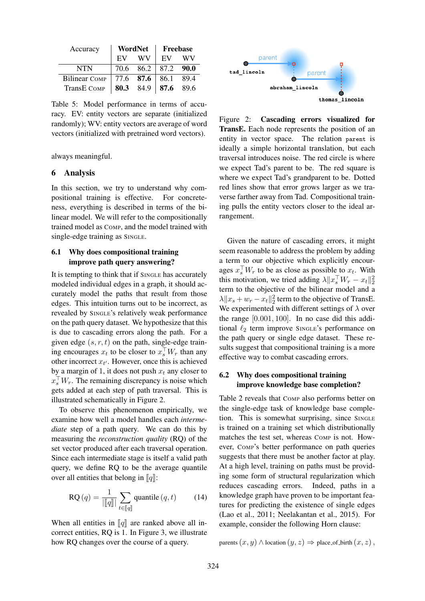| Accuracy             |           | WordNet   | <b>Freebase</b> |       |  |
|----------------------|-----------|-----------|-----------------|-------|--|
|                      | EV        | WV        | EV              | WV    |  |
| <b>NTN</b>           | 70.6      | 86.2      | 87.2            | -90.0 |  |
| <b>Bilinear COMP</b> | 77.6 87.6 |           | 86.1            | 89.4  |  |
| TransE COMP          |           | 80.3 84.9 | 87.6            | 89.6  |  |

Table 5: Model performance in terms of accuracy. EV: entity vectors are separate (initialized randomly); WV: entity vectors are average of word vectors (initialized with pretrained word vectors).

always meaningful.

### 6 Analysis

In this section, we try to understand why compositional training is effective. For concreteness, everything is described in terms of the bilinear model. We will refer to the compositionally trained model as COMP, and the model trained with single-edge training as SINGLE.

# 6.1 Why does compositional training improve path query answering?

It is tempting to think that if SINGLE has accurately modeled individual edges in a graph, it should accurately model the paths that result from those edges. This intuition turns out to be incorrect, as revealed by SINGLE's relatively weak performance on the path query dataset. We hypothesize that this is due to cascading errors along the path. For a given edge  $(s, r, t)$  on the path, single-edge training encourages  $x_t$  to be closer to  $x_s^{\perp} W_r$  than any other incorrect  $x_{t'}$ . However, once this is achieved by a margin of 1, it does not push  $x_t$  any closer to  $x_s^{\perp} W_r$ . The remaining discrepancy is noise which gets added at each step of path traversal. This is illustrated schematically in Figure 2.

To observe this phenomenon empirically, we examine how well a model handles each *intermediate* step of a path query. We can do this by measuring the *reconstruction quality* (RQ) of the set vector produced after each traversal operation. Since each intermediate stage is itself a valid path query, we define RQ to be the average quantile over all entities that belong in  $\llbracket q \rrbracket$ :

$$
RQ(q) = \frac{1}{\|\llbracket q \rrbracket} \sum_{t \in \llbracket q \rrbracket} \text{quantile} \,(q, t) \tag{14}
$$

When all entities in  $\llbracket q \rrbracket$  are ranked above all incorrect entities, RQ is 1. In Figure 3, we illustrate how RQ changes over the course of a query.



Figure 2: Cascading errors visualized for TransE. Each node represents the position of an entity in vector space. The relation parent is ideally a simple horizontal translation, but each traversal introduces noise. The red circle is where we expect Tad's parent to be. The red square is where we expect Tad's grandparent to be. Dotted red lines show that error grows larger as we traverse farther away from Tad. Compositional training pulls the entity vectors closer to the ideal arrangement.

Given the nature of cascading errors, it might seem reasonable to address the problem by adding a term to our objective which explicitly encourages  $x_s^{\perp} W_r$  to be as close as possible to  $x_t$ . With this motivation, we tried adding  $\lambda \|x_s^{\top} W_r - x_t\|_2^2$ term to the objective of the bilinear model and a  $\lambda \|x_s + w_r - x_t\|_2^2$  term to the objective of TransE. We experimented with different settings of  $\lambda$  over the range [0.001, 100]. In no case did this additional  $\ell_2$  term improve SINGLE's performance on the path query or single edge dataset. These results suggest that compositional training is a more effective way to combat cascading errors.

# 6.2 Why does compositional training improve knowledge base completion?

Table 2 reveals that COMP also performs better on the single-edge task of knowledge base completion. This is somewhat surprising, since SINGLE is trained on a training set which distributionally matches the test set, whereas COMP is not. However, COMP's better performance on path queries suggests that there must be another factor at play. At a high level, training on paths must be providing some form of structural regularization which reduces cascading errors. Indeed, paths in a knowledge graph have proven to be important features for predicting the existence of single edges (Lao et al., 2011; Neelakantan et al., 2015). For example, consider the following Horn clause:

parents  $(x, y) \wedge$  location  $(y, z) \Rightarrow$  place of birth  $(x, z)$ ,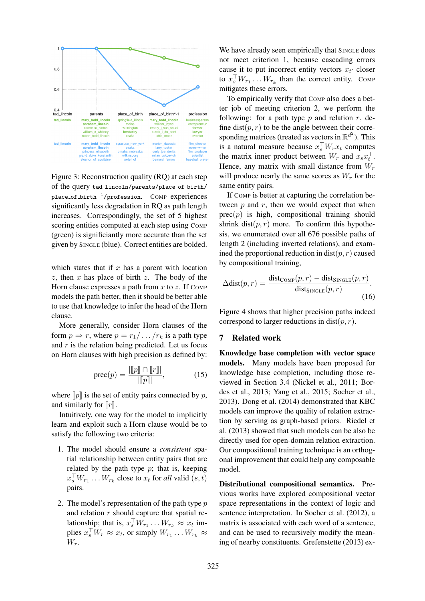

Figure 3: Reconstruction quality (RQ) at each step of the query tad lincoln/parents/place of birth/ place\_of\_birth<sup>-1</sup>/profession. COMP experiences significantly less degradation in RQ as path length increases. Correspondingly, the set of 5 highest scoring entities computed at each step using COMP (green) is significiantly more accurate than the set given by SINGLE (blue). Correct entities are bolded.

which states that if  $x$  has a parent with location  $z$ , then  $x$  has place of birth  $z$ . The body of the Horn clause expresses a path from  $x$  to  $z$ . If COMP models the path better, then it should be better able to use that knowledge to infer the head of the Horn clause.

More generally, consider Horn clauses of the form  $p \Rightarrow r$ , where  $p = r_1 / \dots / r_k$  is a path type and  $r$  is the relation being predicted. Let us focus on Horn clauses with high precision as defined by:

$$
prec(p) = \frac{|\llbracket p \rrbracket \cap \llbracket r \rrbracket|}{|\llbracket p \rrbracket|},\tag{15}
$$

where  $\llbracket p \rrbracket$  is the set of entity pairs connected by p, and similarly for  $\llbracket r \rrbracket$ .

Intuitively, one way for the model to implicitly learn and exploit such a Horn clause would be to satisfy the following two criteria:

- 1. The model should ensure a *consistent* spatial relationship between entity pairs that are related by the path type  $p$ ; that is, keeping  $x_s^{\perp} W_{r_1} \ldots W_{r_k}$  close to  $x_t$  for *all* valid  $(s, t)$ pairs.
- 2. The model's representation of the path type p and relation  $r$  should capture that spatial relationship; that is,  $x_s^{\perp} W_{r_1} \dots W_{r_k} \approx x_t$  implies  $x_s^{\perp} W_r \approx x_t$ , or simply  $W_{r_1} \dots W_{r_k} \approx$  $W_r$ .

We have already seen empirically that SINGLE does not meet criterion 1, because cascading errors cause it to put incorrect entity vectors  $x_{t'}$  closer to  $x_s^{\perp} W_{r_1} \dots W_{r_k}$  than the correct entity. Comp mitigates these errors.

To empirically verify that COMP also does a better job of meeting criterion 2, we perform the following: for a path type  $p$  and relation  $r$ , define dist $(p, r)$  to be the angle between their corresponding matrices (treated as vectors in  $\mathbb{R}^{d^2}$ ). This is a natural measure because  $x_s^{\perp} W_r x_t$  computes the matrix inner product between  $W_r$  and  $x_s x_t^{\dagger}$ . Hence, any matrix with small distance from  $W_r$ will produce nearly the same scores as  $W_r$  for the same entity pairs.

If COMP is better at capturing the correlation between  $p$  and  $r$ , then we would expect that when  $prec(p)$  is high, compositional training should shrink dist $(p, r)$  more. To confirm this hypothesis, we enumerated over all 676 possible paths of length 2 (including inverted relations), and examined the proportional reduction in dist $(p, r)$  caused by compositional training,

$$
\Delta \text{dist}(p,r) = \frac{\text{dist}_{\text{COMP}}(p,r) - \text{dist}_{\text{SINGLE}}(p,r)}{\text{dist}_{\text{SINGLE}}(p,r)}.
$$
\n(16)

Figure 4 shows that higher precision paths indeed correspond to larger reductions in dist $(p, r)$ .

# 7 Related work

Knowledge base completion with vector space models. Many models have been proposed for knowledge base completion, including those reviewed in Section 3.4 (Nickel et al., 2011; Bordes et al., 2013; Yang et al., 2015; Socher et al., 2013). Dong et al. (2014) demonstrated that KBC models can improve the quality of relation extraction by serving as graph-based priors. Riedel et al. (2013) showed that such models can be also be directly used for open-domain relation extraction. Our compositional training technique is an orthogonal improvement that could help any composable model.

Distributional compositional semantics. Previous works have explored compositional vector space representations in the context of logic and sentence interpretation. In Socher et al. (2012), a matrix is associated with each word of a sentence, and can be used to recursively modify the meaning of nearby constituents. Grefenstette (2013) ex-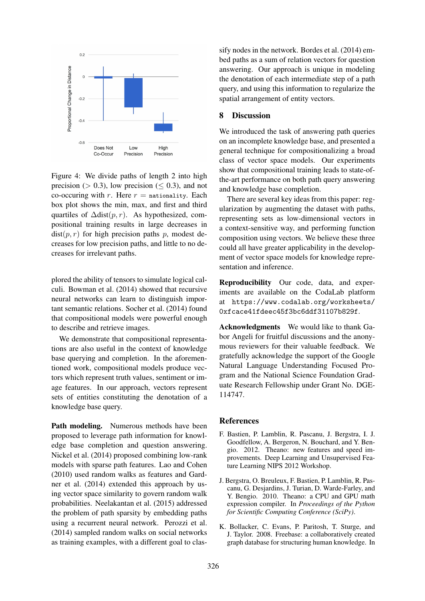

Figure 4: We divide paths of length 2 into high precision ( $> 0.3$ ), low precision ( $< 0.3$ ), and not co-occuring with  $r$ . Here  $r =$  nationality. Each box plot shows the min, max, and first and third quartiles of  $\Delta \text{dist}(p, r)$ . As hypothesized, compositional training results in large decreases in  $dist(p, r)$  for high precision paths p, modest decreases for low precision paths, and little to no decreases for irrelevant paths.

plored the ability of tensors to simulate logical calculi. Bowman et al. (2014) showed that recursive neural networks can learn to distinguish important semantic relations. Socher et al. (2014) found that compositional models were powerful enough to describe and retrieve images.

We demonstrate that compositional representations are also useful in the context of knowledge base querying and completion. In the aforementioned work, compositional models produce vectors which represent truth values, sentiment or image features. In our approach, vectors represent sets of entities constituting the denotation of a knowledge base query.

Path modeling. Numerous methods have been proposed to leverage path information for knowledge base completion and question answering. Nickel et al. (2014) proposed combining low-rank models with sparse path features. Lao and Cohen (2010) used random walks as features and Gardner et al. (2014) extended this approach by using vector space similarity to govern random walk probabilities. Neelakantan et al. (2015) addressed the problem of path sparsity by embedding paths using a recurrent neural network. Perozzi et al. (2014) sampled random walks on social networks as training examples, with a different goal to clas-

sify nodes in the network. Bordes et al. (2014) embed paths as a sum of relation vectors for question answering. Our approach is unique in modeling the denotation of each intermediate step of a path query, and using this information to regularize the spatial arrangement of entity vectors.

# 8 Discussion

We introduced the task of answering path queries on an incomplete knowledge base, and presented a general technique for compositionalizing a broad class of vector space models. Our experiments show that compositional training leads to state-ofthe-art performance on both path query answering and knowledge base completion.

There are several key ideas from this paper: regularization by augmenting the dataset with paths, representing sets as low-dimensional vectors in a context-sensitive way, and performing function composition using vectors. We believe these three could all have greater applicability in the development of vector space models for knowledge representation and inference.

Reproducibility Our code, data, and experiments are available on the CodaLab platform at https://www.codalab.org/worksheets/ 0xfcace41fdeec45f3bc6ddf31107b829f.

Acknowledgments We would like to thank Gabor Angeli for fruitful discussions and the anonymous reviewers for their valuable feedback. We gratefully acknowledge the support of the Google Natural Language Understanding Focused Program and the National Science Foundation Graduate Research Fellowship under Grant No. DGE-114747.

# References

- F. Bastien, P. Lamblin, R. Pascanu, J. Bergstra, I. J. Goodfellow, A. Bergeron, N. Bouchard, and Y. Bengio. 2012. Theano: new features and speed improvements. Deep Learning and Unsupervised Feature Learning NIPS 2012 Workshop.
- J. Bergstra, O. Breuleux, F. Bastien, P. Lamblin, R. Pascanu, G. Desjardins, J. Turian, D. Warde-Farley, and Y. Bengio. 2010. Theano: a CPU and GPU math expression compiler. In *Proceedings of the Python for Scientific Computing Conference (SciPy)*.
- K. Bollacker, C. Evans, P. Paritosh, T. Sturge, and J. Taylor. 2008. Freebase: a collaboratively created graph database for structuring human knowledge. In